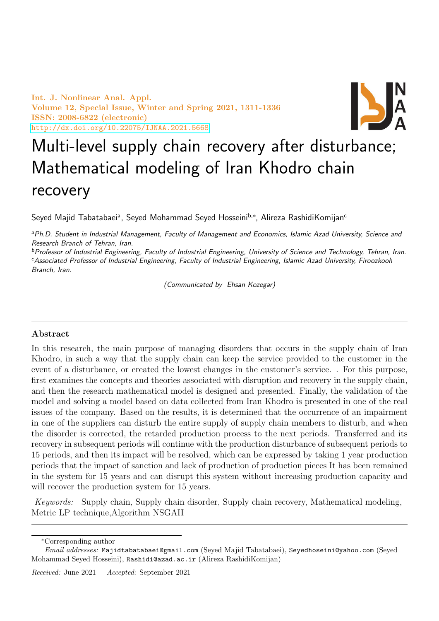Int. J. Nonlinear Anal. Appl. Volume 12, Special Issue, Winter and Spring 2021, 1311-1336 ISSN: 2008-6822 (electronic) <http://dx.doi.org/10.22075/IJNAA.2021.5668>



# Multi-level supply chain recovery after disturbance; Mathematical modeling of Iran Khodro chain recovery

Seyed Majid Tabatabaeiª, Seyed Mohammad Seyed Hosseini<sup>b,∗</sup>, Alireza RashidiKomijan<sup>c</sup>

aPh.D. Student in Industrial Management, Faculty of Management and Economics, Islamic Azad University, Science and Research Branch of Tehran, Iran.

bProfessor of Industrial Engineering, Faculty of Industrial Engineering, University of Science and Technology, Tehran, Iran. <sup>c</sup>Associated Professor of Industrial Engineering, Faculty of Industrial Engineering, Islamic Azad University, Firoozkooh Branch, Iran.

(Communicated by Ehsan Kozegar)

# Abstract

In this research, the main purpose of managing disorders that occurs in the supply chain of Iran Khodro, in such a way that the supply chain can keep the service provided to the customer in the event of a disturbance, or created the lowest changes in the customer's service. . For this purpose, first examines the concepts and theories associated with disruption and recovery in the supply chain, and then the research mathematical model is designed and presented. Finally, the validation of the model and solving a model based on data collected from Iran Khodro is presented in one of the real issues of the company. Based on the results, it is determined that the occurrence of an impairment in one of the suppliers can disturb the entire supply of supply chain members to disturb, and when the disorder is corrected, the retarded production process to the next periods. Transferred and its recovery in subsequent periods will continue with the production disturbance of subsequent periods to 15 periods, and then its impact will be resolved, which can be expressed by taking 1 year production periods that the impact of sanction and lack of production of production pieces It has been remained in the system for 15 years and can disrupt this system without increasing production capacity and will recover the production system for 15 years.

Keywords: Supply chain, Supply chain disorder, Supply chain recovery, Mathematical modeling, Metric LP technique,Algorithm NSGAII

<sup>∗</sup>Corresponding author

Email addresses: Majidtabatabaei@gmail.com (Seyed Majid Tabatabaei), Seyedhoseini@yahoo.com (Seyed Mohammad Seyed Hosseini), Rashidi@azad.ac.ir (Alireza RashidiKomijan)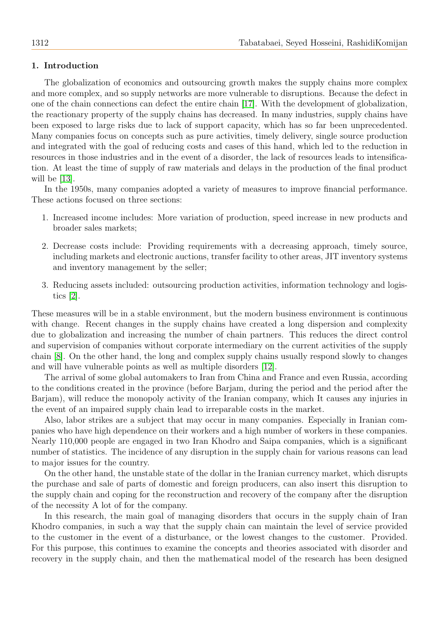## 1. Introduction

The globalization of economics and outsourcing growth makes the supply chains more complex and more complex, and so supply networks are more vulnerable to disruptions. Because the defect in one of the chain connections can defect the entire chain [\[17\]](#page-25-0). With the development of globalization, the reactionary property of the supply chains has decreased. In many industries, supply chains have been exposed to large risks due to lack of support capacity, which has so far been unprecedented. Many companies focus on concepts such as pure activities, timely delivery, single source production and integrated with the goal of reducing costs and cases of this hand, which led to the reduction in resources in those industries and in the event of a disorder, the lack of resources leads to intensification. At least the time of supply of raw materials and delays in the production of the final product will be [\[13\]](#page-25-1).

In the 1950s, many companies adopted a variety of measures to improve financial performance. These actions focused on three sections:

- 1. Increased income includes: More variation of production, speed increase in new products and broader sales markets;
- 2. Decrease costs include: Providing requirements with a decreasing approach, timely source, including markets and electronic auctions, transfer facility to other areas, JIT inventory systems and inventory management by the seller;
- 3. Reducing assets included: outsourcing production activities, information technology and logistics [\[2\]](#page-25-2).

These measures will be in a stable environment, but the modern business environment is continuous with change. Recent changes in the supply chains have created a long dispersion and complexity due to globalization and increasing the number of chain partners. This reduces the direct control and supervision of companies without corporate intermediary on the current activities of the supply chain [\[8\]](#page-25-3). On the other hand, the long and complex supply chains usually respond slowly to changes and will have vulnerable points as well as multiple disorders [\[12\]](#page-25-4).

The arrival of some global automakers to Iran from China and France and even Russia, according to the conditions created in the province (before Barjam, during the period and the period after the Barjam), will reduce the monopoly activity of the Iranian company, which It causes any injuries in the event of an impaired supply chain lead to irreparable costs in the market.

Also, labor strikes are a subject that may occur in many companies. Especially in Iranian companies who have high dependence on their workers and a high number of workers in these companies. Nearly 110,000 people are engaged in two Iran Khodro and Saipa companies, which is a significant number of statistics. The incidence of any disruption in the supply chain for various reasons can lead to major issues for the country.

On the other hand, the unstable state of the dollar in the Iranian currency market, which disrupts the purchase and sale of parts of domestic and foreign producers, can also insert this disruption to the supply chain and coping for the reconstruction and recovery of the company after the disruption of the necessity A lot of for the company.

In this research, the main goal of managing disorders that occurs in the supply chain of Iran Khodro companies, in such a way that the supply chain can maintain the level of service provided to the customer in the event of a disturbance, or the lowest changes to the customer. Provided. For this purpose, this continues to examine the concepts and theories associated with disorder and recovery in the supply chain, and then the mathematical model of the research has been designed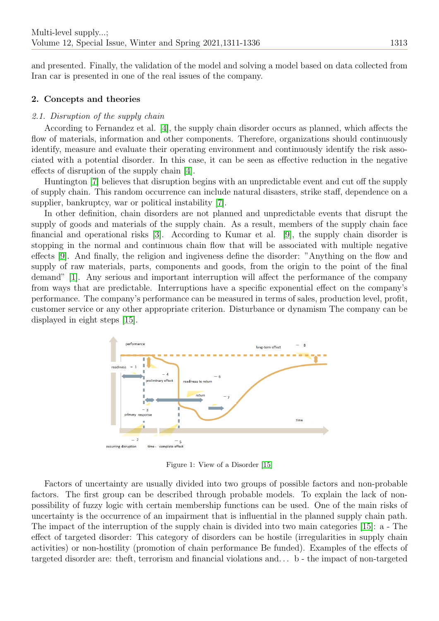and presented. Finally, the validation of the model and solving a model based on data collected from Iran car is presented in one of the real issues of the company.

#### 2. Concepts and theories

## 2.1. Disruption of the supply chain

According to Fernandez et al. [\[4\]](#page-25-5), the supply chain disorder occurs as planned, which affects the flow of materials, information and other components. Therefore, organizations should continuously identify, measure and evaluate their operating environment and continuously identify the risk associated with a potential disorder. In this case, it can be seen as effective reduction in the negative effects of disruption of the supply chain [\[4\]](#page-25-5).

Huntington [\[7\]](#page-25-6) believes that disruption begins with an unpredictable event and cut off the supply of supply chain. This random occurrence can include natural disasters, strike staff, dependence on a supplier, bankruptcy, war or political instability [\[7\]](#page-25-6).

In other definition, chain disorders are not planned and unpredictable events that disrupt the supply of goods and materials of the supply chain. As a result, members of the supply chain face financial and operational risks [\[3\]](#page-25-7). According to Kumar et al. [\[9\]](#page-25-8), the supply chain disorder is stopping in the normal and continuous chain flow that will be associated with multiple negative effects [\[9\]](#page-25-8). And finally, the religion and ingiveness define the disorder: "Anything on the flow and supply of raw materials, parts, components and goods, from the origin to the point of the final demand" [\[1\]](#page-25-9). Any serious and important interruption will affect the performance of the company from ways that are predictable. Interruptions have a specific exponential effect on the company's performance. The company's performance can be measured in terms of sales, production level, profit, customer service or any other appropriate criterion. Disturbance or dynamism The company can be displayed in eight steps [\[15\]](#page-25-10).



Figure 1: View of a Disorder [\[15\]](#page-25-10)

Factors of uncertainty are usually divided into two groups of possible factors and non-probable factors. The first group can be described through probable models. To explain the lack of nonpossibility of fuzzy logic with certain membership functions can be used. One of the main risks of uncertainty is the occurrence of an impairment that is influential in the planned supply chain path. The impact of the interruption of the supply chain is divided into two main categories [\[15\]](#page-25-10): a - The effect of targeted disorder: This category of disorders can be hostile (irregularities in supply chain activities) or non-hostility (promotion of chain performance Be funded). Examples of the effects of targeted disorder are: theft, terrorism and financial violations and. . . b - the impact of non-targeted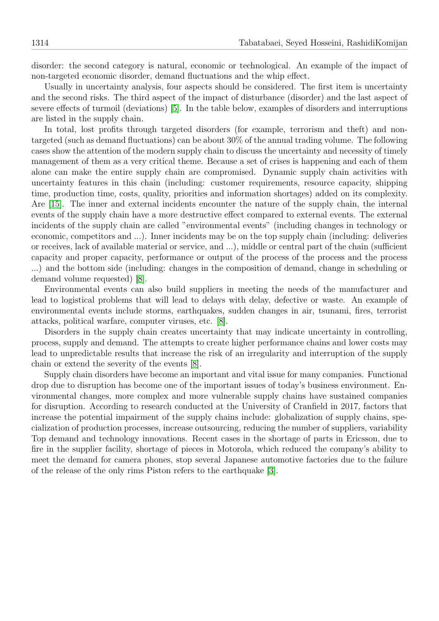disorder: the second category is natural, economic or technological. An example of the impact of non-targeted economic disorder, demand fluctuations and the whip effect.

Usually in uncertainty analysis, four aspects should be considered. The first item is uncertainty and the second risks. The third aspect of the impact of disturbance (disorder) and the last aspect of severe effects of turmoil (deviations) [\[5\]](#page-25-11). In the table below, examples of disorders and interruptions are listed in the supply chain.

In total, lost profits through targeted disorders (for example, terrorism and theft) and nontargeted (such as demand fluctuations) can be about 30% of the annual trading volume. The following cases show the attention of the modern supply chain to discuss the uncertainty and necessity of timely management of them as a very critical theme. Because a set of crises is happening and each of them alone can make the entire supply chain are compromised. Dynamic supply chain activities with uncertainty features in this chain (including: customer requirements, resource capacity, shipping time, production time, costs, quality, priorities and information shortages) added on its complexity. Are [\[15\]](#page-25-10). The inner and external incidents encounter the nature of the supply chain, the internal events of the supply chain have a more destructive effect compared to external events. The external incidents of the supply chain are called "environmental events" (including changes in technology or economic, competitors and ...). Inner incidents may be on the top supply chain (including: deliveries or receives, lack of available material or service, and ...), middle or central part of the chain (sufficient capacity and proper capacity, performance or output of the process of the process and the process ...) and the bottom side (including: changes in the composition of demand, change in scheduling or demand volume requested) [\[8\]](#page-25-3).

Environmental events can also build suppliers in meeting the needs of the manufacturer and lead to logistical problems that will lead to delays with delay, defective or waste. An example of environmental events include storms, earthquakes, sudden changes in air, tsunami, fires, terrorist attacks, political warfare, computer viruses, etc. [\[8\]](#page-25-3).

Disorders in the supply chain creates uncertainty that may indicate uncertainty in controlling, process, supply and demand. The attempts to create higher performance chains and lower costs may lead to unpredictable results that increase the risk of an irregularity and interruption of the supply chain or extend the severity of the events [\[8\]](#page-25-3).

Supply chain disorders have become an important and vital issue for many companies. Functional drop due to disruption has become one of the important issues of today's business environment. Environmental changes, more complex and more vulnerable supply chains have sustained companies for disruption. According to research conducted at the University of Cranfield in 2017, factors that increase the potential impairment of the supply chains include: globalization of supply chains, specialization of production processes, increase outsourcing, reducing the number of suppliers, variability Top demand and technology innovations. Recent cases in the shortage of parts in Ericsson, due to fire in the supplier facility, shortage of pieces in Motorola, which reduced the company's ability to meet the demand for camera phones, stop several Japanese automotive factories due to the failure of the release of the only rims Piston refers to the earthquake [\[3\]](#page-25-7).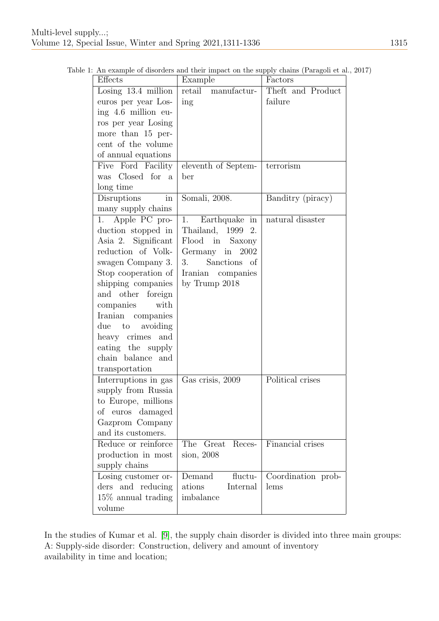| Effects                            | Example                | Factors            |
|------------------------------------|------------------------|--------------------|
| Losing $13.4$ million              | retail<br>manufactur-  | Theft and Product  |
| euros per year Los-                | ing                    | failure            |
| ing 4.6 million eu-                |                        |                    |
| ros per year Losing                |                        |                    |
| more than 15 per-                  |                        |                    |
| cent of the volume                 |                        |                    |
| of annual equations                |                        |                    |
| Five Ford Facility                 | eleventh of Septem-    | terrorism          |
| was Closed for<br>a                | ber                    |                    |
| long time                          |                        |                    |
| Disruptions<br>$\operatorname{in}$ | Somali, $2008$ .       | Banditry (piracy)  |
| many supply chains                 |                        |                    |
| Apple PC pro-<br>1.                | Earthquake in<br>1.    | natural disaster   |
| duction stopped in                 | Thailand, 1999<br>2.   |                    |
| Asia 2. Significant                | Flood in Saxony        |                    |
| reduction of Volk-                 | Germany in<br>2002     |                    |
| swagen Company 3.                  | Sanctions of<br>3.     |                    |
| Stop cooperation of                | Iranian companies      |                    |
| shipping companies                 | by Trump $2018$        |                    |
| and other foreign                  |                        |                    |
| companies<br>with                  |                        |                    |
| Iranian companies                  |                        |                    |
| due<br>avoiding<br>to              |                        |                    |
| heavy crimes and                   |                        |                    |
| eating the supply                  |                        |                    |
| chain balance and                  |                        |                    |
| transportation                     |                        |                    |
| Interruptions in gas               | Gas crisis, 2009       | Political crises   |
| supply from Russia                 |                        |                    |
| to Europe, millions                |                        |                    |
| of euros damaged                   |                        |                    |
| Gazprom Company                    |                        |                    |
| and its customers.                 |                        |                    |
| Reduce or reinforce                | The<br>Reces-<br>Great | Financial crises   |
| production in most                 | sion, 2008             |                    |
| supply chains                      |                        |                    |
| Losing customer or-                | fluctu-<br>Demand      | Coordination prob- |
| ders and reducing                  | ations<br>Internal     | lems               |
| $15\%$ annual trading              | imbalance              |                    |
| volume                             |                        |                    |

Table 1: An example of disorders and their impact on the supply chains (Paragoli et al., 2017)

In the studies of Kumar et al. [\[9\]](#page-25-8), the supply chain disorder is divided into three main groups: A: Supply-side disorder: Construction, delivery and amount of inventory availability in time and location;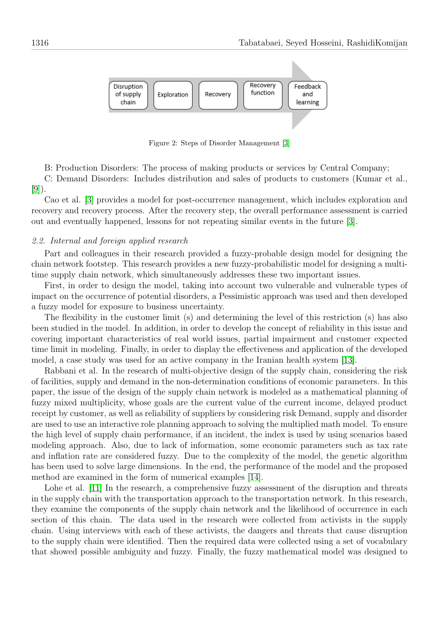

Figure 2: Steps of Disorder Management [\[3\]](#page-25-7)

B: Production Disorders: The process of making products or services by Central Company;

C: Demand Disorders: Includes distribution and sales of products to customers (Kumar et al., [\[9\]](#page-25-8)).

Cao et al. [\[3\]](#page-25-7) provides a model for post-occurrence management, which includes exploration and recovery and recovery process. After the recovery step, the overall performance assessment is carried out and eventually happened, lessons for not repeating similar events in the future [\[3\]](#page-25-7).

#### 2.2. Internal and foreign applied research

Part and colleagues in their research provided a fuzzy-probable design model for designing the chain network footstep. This research provides a new fuzzy-probabilistic model for designing a multitime supply chain network, which simultaneously addresses these two important issues.

First, in order to design the model, taking into account two vulnerable and vulnerable types of impact on the occurrence of potential disorders, a Pessimistic approach was used and then developed a fuzzy model for exposure to business uncertainty.

The flexibility in the customer limit (s) and determining the level of this restriction (s) has also been studied in the model. In addition, in order to develop the concept of reliability in this issue and covering important characteristics of real world issues, partial impairment and customer expected time limit in modeling. Finally, in order to display the effectiveness and application of the developed model, a case study was used for an active company in the Iranian health system [\[13\]](#page-25-1).

Rabbani et al. In the research of multi-objective design of the supply chain, considering the risk of facilities, supply and demand in the non-determination conditions of economic parameters. In this paper, the issue of the design of the supply chain network is modeled as a mathematical planning of fuzzy mixed multiplicity, whose goals are the current value of the current income, delayed product receipt by customer, as well as reliability of suppliers by considering risk Demand, supply and disorder are used to use an interactive role planning approach to solving the multiplied math model. To ensure the high level of supply chain performance, if an incident, the index is used by using scenarios based modeling approach. Also, due to lack of information, some economic parameters such as tax rate and inflation rate are considered fuzzy. Due to the complexity of the model, the genetic algorithm has been used to solve large dimensions. In the end, the performance of the model and the proposed method are examined in the form of numerical examples [\[14\]](#page-25-12).

Lohe et al. [\[11\]](#page-25-13) In the research, a comprehensive fuzzy assessment of the disruption and threats in the supply chain with the transportation approach to the transportation network. In this research, they examine the components of the supply chain network and the likelihood of occurrence in each section of this chain. The data used in the research were collected from activists in the supply chain. Using interviews with each of these activists, the dangers and threats that cause disruption to the supply chain were identified. Then the required data were collected using a set of vocabulary that showed possible ambiguity and fuzzy. Finally, the fuzzy mathematical model was designed to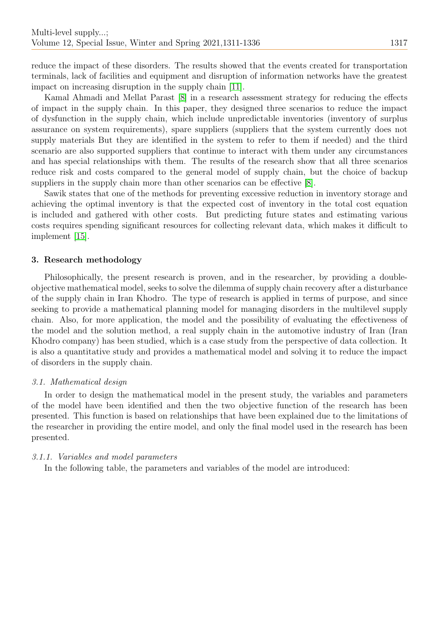reduce the impact of these disorders. The results showed that the events created for transportation terminals, lack of facilities and equipment and disruption of information networks have the greatest impact on increasing disruption in the supply chain [\[11\]](#page-25-13).

Kamal Ahmadi and Mellat Parast [\[8\]](#page-25-3) in a research assessment strategy for reducing the effects of impact in the supply chain. In this paper, they designed three scenarios to reduce the impact of dysfunction in the supply chain, which include unpredictable inventories (inventory of surplus assurance on system requirements), spare suppliers (suppliers that the system currently does not supply materials But they are identified in the system to refer to them if needed) and the third scenario are also supported suppliers that continue to interact with them under any circumstances and has special relationships with them. The results of the research show that all three scenarios reduce risk and costs compared to the general model of supply chain, but the choice of backup suppliers in the supply chain more than other scenarios can be effective [\[8\]](#page-25-3).

Sawik states that one of the methods for preventing excessive reduction in inventory storage and achieving the optimal inventory is that the expected cost of inventory in the total cost equation is included and gathered with other costs. But predicting future states and estimating various costs requires spending significant resources for collecting relevant data, which makes it difficult to implement [\[15\]](#page-25-10).

### 3. Research methodology

Philosophically, the present research is proven, and in the researcher, by providing a doubleobjective mathematical model, seeks to solve the dilemma of supply chain recovery after a disturbance of the supply chain in Iran Khodro. The type of research is applied in terms of purpose, and since seeking to provide a mathematical planning model for managing disorders in the multilevel supply chain. Also, for more application, the model and the possibility of evaluating the effectiveness of the model and the solution method, a real supply chain in the automotive industry of Iran (Iran Khodro company) has been studied, which is a case study from the perspective of data collection. It is also a quantitative study and provides a mathematical model and solving it to reduce the impact of disorders in the supply chain.

#### 3.1. Mathematical design

In order to design the mathematical model in the present study, the variables and parameters of the model have been identified and then the two objective function of the research has been presented. This function is based on relationships that have been explained due to the limitations of the researcher in providing the entire model, and only the final model used in the research has been presented.

#### 3.1.1. Variables and model parameters

In the following table, the parameters and variables of the model are introduced: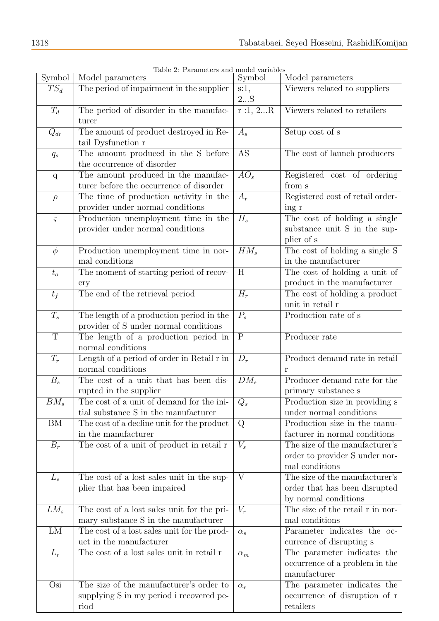| Symbol            | <u>Lable 2: Parameters and model variables</u><br>Model parameters  | Symbol            | Model parameters                                          |
|-------------------|---------------------------------------------------------------------|-------------------|-----------------------------------------------------------|
| $TS_d$            | The period of impairment in the supplier                            | $s:1$ ,           | Viewers related to suppliers                              |
|                   |                                                                     | 2S                |                                                           |
| $T_d$             | The period of disorder in the manufac-                              | r:1, 2R           | Viewers related to retailers                              |
|                   | turer                                                               |                   |                                                           |
| $Q_{dr}$          | The amount of product destroyed in Re-                              | $A_{s}$           | Setup cost of s                                           |
|                   | tail Dysfunction r                                                  |                   |                                                           |
| $q_s$             | The amount produced in the S before                                 | <b>AS</b>         | The cost of launch producers                              |
|                   | the occurrence of disorder                                          |                   |                                                           |
| $\mathbf q$       | The amount produced in the manufac-                                 | $\overline{AO_s}$ | Registered cost of ordering                               |
|                   | turer before the occurrence of disorder                             |                   | from s                                                    |
| $\rho$            | The time of production activity in the                              | $A_r$             | Registered cost of retail order-                          |
|                   | provider under normal conditions                                    |                   | ing r                                                     |
| $\varsigma$       | Production unemployment time in the                                 | $H_s$             | The cost of holding a single                              |
|                   | provider under normal conditions                                    |                   | substance unit S in the sup-                              |
|                   |                                                                     |                   | plier of s                                                |
| $\phi$            | Production unemployment time in nor-                                | $HM_s$            | The cost of holding a single S                            |
|                   | mal conditions                                                      |                   | in the manufacturer                                       |
| $t_o$             | The moment of starting period of recov-                             | H                 | The cost of holding a unit of                             |
|                   | ery                                                                 |                   | product in the manufacturer                               |
| $t_f$             | The end of the retrieval period                                     | $H_r$             | The cost of holding a product                             |
|                   |                                                                     |                   | unit in retail r                                          |
| $T_s$             | The length of a production period in the                            | $P_s$             | Production rate of s                                      |
|                   | provider of S under normal conditions                               |                   |                                                           |
| $\mathbf T$       | The length of a production period in                                | $\mathbf P$       | Producer rate                                             |
|                   | normal conditions                                                   |                   |                                                           |
| $T_r$             | Length of a period of order in Retail r in                          | $D_r$             | Product demand rate in retail                             |
|                   | normal conditions                                                   |                   | r                                                         |
| $B_s$             | The cost of a unit that has been dis-                               | $DM_s$            | Producer demand rate for the                              |
|                   | rupted in the supplier<br>The cost of a unit of demand for the ini- |                   | primary substance s                                       |
| $\overline{BM_s}$ | tial substance S in the manufacturer                                | $\overline{Q_s}$  | Production size in providing s<br>under normal conditions |
| BM                | The cost of a decline unit for the product                          | Q                 | Production size in the manu-                              |
|                   | in the manufacturer                                                 |                   | facturer in normal conditions                             |
| $B_r$             | The cost of a unit of product in retail r                           | $V_s$             | The size of the manufacturer's                            |
|                   |                                                                     |                   | order to provider S under nor-                            |
|                   |                                                                     |                   | mal conditions                                            |
| $L_s$             | The cost of a lost sales unit in the sup-                           | V                 | The size of the manufacturer's                            |
|                   | plier that has been impaired                                        |                   | order that has been disrupted                             |
|                   |                                                                     |                   | by normal conditions                                      |
| $LM_s$            | The cost of a lost sales unit for the pri-                          | $V_r$             | The size of the retail $\bar{r}$ in nor-                  |
|                   | mary substance S in the manufacturer                                |                   | mal conditions                                            |
| LM                | The cost of a lost sales unit for the prod-                         | $\alpha_s$        | Parameter indicates the oc-                               |
|                   | uct in the manufacturer                                             |                   | currence of disrupting s                                  |
| $L_r$             | The cost of a lost sales unit in retail r                           | $\alpha_m$        | The parameter indicates the                               |
|                   |                                                                     |                   | occurrence of a problem in the                            |
|                   |                                                                     |                   | manufacturer                                              |
| Osi               | The size of the manufacturer's order to                             | $\alpha_r$        | The parameter indicates the                               |
|                   | supplying S in my period i recovered pe-                            |                   | occurrence of disruption of r                             |
|                   | riod                                                                |                   | retailers                                                 |

| Table 2: Parameters and model variables |  |  |
|-----------------------------------------|--|--|
|                                         |  |  |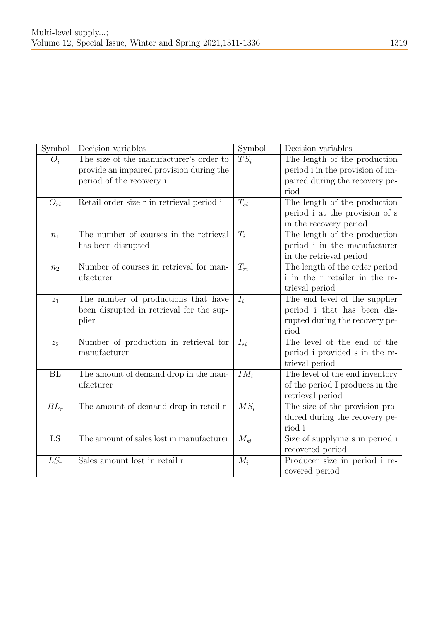| Symbol             | Decision variables                        | Symbol   | Decision variables               |
|--------------------|-------------------------------------------|----------|----------------------------------|
| $O_i$              | The size of the manufacturer's order to   | $TS_i$   | The length of the production     |
|                    | provide an impaired provision during the  |          | period i in the provision of im- |
|                    | period of the recovery i                  |          | paired during the recovery pe-   |
|                    |                                           |          | riod                             |
| $O_{ri}$           | Retail order size r in retrieval period i | $T_{si}$ | The length of the production     |
|                    |                                           |          | period i at the provision of s   |
|                    |                                           |          | in the recovery period           |
| $n_1$              | The number of courses in the retrieval    | $T_i$    | The length of the production     |
|                    | has been disrupted                        |          | period i in the manufacturer     |
|                    |                                           |          | in the retrieval period          |
| n <sub>2</sub>     | Number of courses in retrieval for man-   | $T_{ri}$ | The length of the order period   |
|                    | ufacturer                                 |          | i in the r retailer in the re-   |
|                    |                                           |          | trieval period                   |
| $\boldsymbol{z}_1$ | The number of productions that have       | $I_i$    | The end level of the supplier    |
|                    | been disrupted in retrieval for the sup-  |          | period i that has been dis-      |
|                    | plier                                     |          | rupted during the recovery pe-   |
|                    |                                           |          | riod                             |
| $z_2$              | Number of production in retrieval for     | $I_{si}$ | The level of the end of the      |
|                    | manufacturer                              |          | period i provided s in the re-   |
|                    |                                           |          | trieval period                   |
| BL                 | The amount of demand drop in the man-     | $IM_i$   | The level of the end inventory   |
|                    | ufacturer                                 |          | of the period I produces in the  |
|                    |                                           |          | retrieval period                 |
| $BL_r$             | The amount of demand drop in retail r     | $MS_i$   | The size of the provision pro-   |
|                    |                                           |          | duced during the recovery pe-    |
|                    |                                           |          | riod i                           |
| LS                 | The amount of sales lost in manufacturer  | $M_{si}$ | Size of supplying s in period i  |
|                    |                                           |          | recovered period                 |
| $LS_r$             | Sales amount lost in retail r             | $M_i$    | Producer size in period i re-    |
|                    |                                           |          | covered period                   |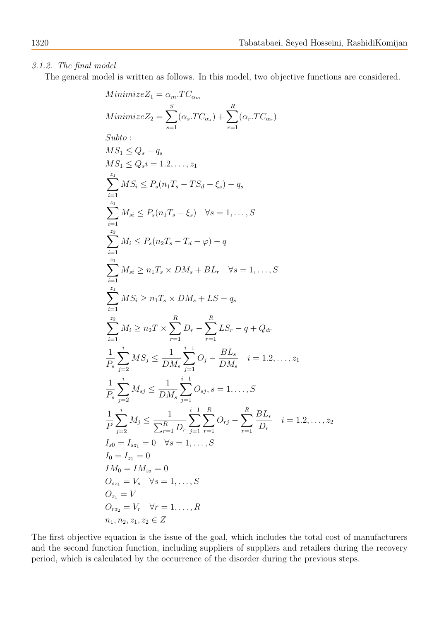# 3.1.2. The final model

The general model is written as follows. In this model, two objective functions are considered.

$$
Minimize Z_1 = \alpha_m.TC_{\alpha_m}
$$
\n
$$
Minimize Z_2 = \sum_{s=1}^{S} (\alpha_s.TC_{\alpha_s}) + \sum_{r=1}^{R} (\alpha_r.TC_{\alpha_r})
$$
\n
$$
Subto:
$$
\n
$$
MS_1 \le Q_s - q_s
$$
\n
$$
MS_1 \le Q_s - q_s
$$
\n
$$
MS_1 \le Q_s = 1.2, ..., z_1
$$
\n
$$
\sum_{i=1}^{z_1} MS_i \le P_s(n_1T_s - TS_d - \xi_s) - q_s
$$
\n
$$
\sum_{i=1}^{z_1} M_{si} \le P_s(n_1T_s - \xi_s) \quad \forall s = 1, ..., S
$$
\n
$$
\sum_{i=1}^{z_2} M_i \le P_s(n_2T_s - T_d - \varphi) - q
$$
\n
$$
\sum_{i=1}^{z_1} M_{si} \ge n_1T_s \times DM_s + BL_r \quad \forall s = 1, ..., S
$$
\n
$$
\sum_{i=1}^{z_1} MS_i \ge n_1T_s \times DM_s + LS - q_s
$$
\n
$$
\sum_{i=1}^{z_2} M_i \ge n_2T \times \sum_{r=1}^{R} D_r - \sum_{r=1}^{R} LS_r - q + Q_{dr}
$$
\n
$$
\frac{1}{P_s} \sum_{j=2}^{i} MS_j \le \frac{1}{DM_s} \sum_{j=1}^{i-1} O_j - \frac{BL_s}{DM_s} \quad i = 1.2, ..., z_1
$$
\n
$$
\frac{1}{P_s} \sum_{j=2}^{i} M_{sj} \le \frac{1}{DM_s} \sum_{j=1}^{i-1} O_{sj}, s = 1, ..., S
$$
\n
$$
\frac{1}{P} \sum_{j=2}^{i} M_{sj} \le \frac{1}{\sum_{r=1}^{R} D_r} \sum_{j=1}^{i-1} \sum_{r=1}^{R} O_{rj} - \sum_{r=1}^{R} \frac{BL_r}{D_r} \quad i = 1.2, ..., z_2
$$
\n
$$
I_0 = I_{s_2} = 0
$$
\n
$$
O_{s_2} = V_s \quad \forall s = 1, ..., S
$$
\n
$$
O_{s_1} = V
$$

The first objective equation is the issue of the goal, which includes the total cost of manufacturers and the second function function, including suppliers of suppliers and retailers during the recovery period, which is calculated by the occurrence of the disorder during the previous steps.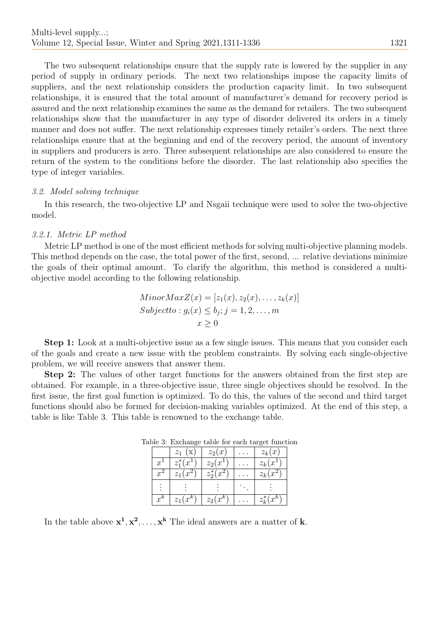The two subsequent relationships ensure that the supply rate is lowered by the supplier in any period of supply in ordinary periods. The next two relationships impose the capacity limits of suppliers, and the next relationship considers the production capacity limit. In two subsequent relationships, it is ensured that the total amount of manufacturer's demand for recovery period is assured and the next relationship examines the same as the demand for retailers. The two subsequent relationships show that the manufacturer in any type of disorder delivered its orders in a timely manner and does not suffer. The next relationship expresses timely retailer's orders. The next three relationships ensure that at the beginning and end of the recovery period, the amount of inventory in suppliers and producers is zero. Three subsequent relationships are also considered to ensure the return of the system to the conditions before the disorder. The last relationship also specifies the type of integer variables.

### 3.2. Model solving technique

In this research, the two-objective LP and Nsgaii technique were used to solve the two-objective model.

## 3.2.1. Metric LP method

Metric LP method is one of the most efficient methods for solving multi-objective planning models. This method depends on the case, the total power of the first, second, ... relative deviations minimize the goals of their optimal amount. To clarify the algorithm, this method is considered a multiobjective model according to the following relationship.

$$
MinorMaxZ(x) = [z1(x), z2(x), ..., zk(x)]
$$
  
\n
$$
Subject to : gi(x) \leq bj; j = 1, 2, ..., m
$$
  
\n
$$
x \geq 0
$$

Step 1: Look at a multi-objective issue as a few single issues. This means that you consider each of the goals and create a new issue with the problem constraints. By solving each single-objective problem, we will receive answers that answer them.

Step 2: The values of other target functions for the answers obtained from the first step are obtained. For example, in a three-objective issue, three single objectives should be resolved. In the first issue, the first goal function is optimized. To do this, the values of the second and third target functions should also be formed for decision-making variables optimized. At the end of this step, a table is like Table 3. This table is renowned to the exchange table.

|             | $z_1(x)$     | $z_2(x)$     | $z_k(x)$       |
|-------------|--------------|--------------|----------------|
| $x^{\perp}$ | $z_1^*(x_1)$ | $z_2(x^1)$   | $z_k(x)$       |
| $x^2$       | $z_1(x^2)$   | $z_2^*(x^2)$ | $z_k(x)$       |
|             |              |              |                |
| $r^k$       | $z_1(x^k)$   | $z_2(x^k)$   | $z^*_{k}(x^k)$ |

Table 3: Exchange table for each target function

In the table above  $x^1, x^2, \ldots, x^k$  The ideal answers are a matter of **k**.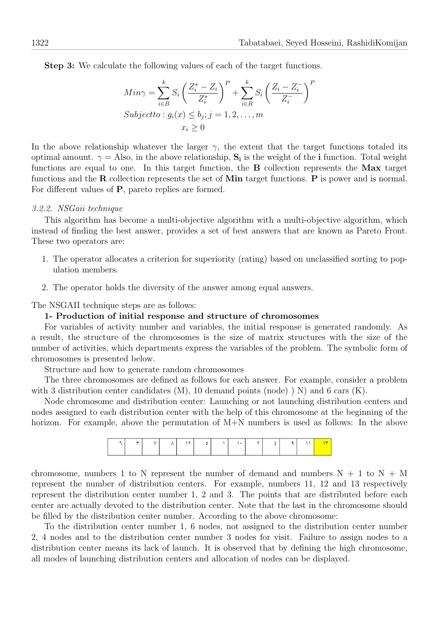Step 3: We calculate the following values of each of the target functions.

$$
Min\gamma = \sum_{i \in B}^{k} S_i \left( \frac{Z_i^* - Z_i}{Z_i^*} \right)^P + \sum_{i \in R}^{k} S_i \left( \frac{Z_i - Z_i^-}{Z_i^-} \right)^P
$$
  
\n
$$
Subject to: g_i(x) \le b_j; j = 1, 2, ..., m
$$
  
\n
$$
x_i \ge 0
$$

In the above relationship whatever the larger  $\gamma$ , the extent that the target functions totaled its optimal amount.  $\gamma =$  Also, in the above relationship,  $S_i$  is the weight of the *i* function. Total weight functions are equal to one. In this target function, the B collection represents the Max target functions and the  $\bf R$  collection represents the set of Min target functions.  $\bf P$  is power and is normal. For different values of P, pareto replies are formed.

#### 3.2.2. NSGaii technique

This algorithm has become a multi-objective algorithm with a multi-objective algorithm, which instead of finding the best answer, provides a set of best answers that are known as Pareto Front. These two operators are:

- 1. The operator allocates a criterion for superiority (rating) based on unclassified sorting to population members.
- 2. The operator holds the diversity of the answer among equal answers.

The NSGAII technique steps are as follows:

#### 1- Production of initial response and structure of chromosomes

For variables of activity number and variables, the initial response is generated randomly. As a result, the structure of the chromosomes is the size of matrix structures with the size of the number of activities, which departments express the variables of the problem. The symbolic form of chromosomes is presented below.

Structure and how to generate random chromosomes

The three chromosomes are defined as follows for each answer. For example, consider a problem with 3 distribution center candidates  $(M)$ , 10 demand points (node)  $\) N$  and 6 cars  $(K)$ .

Node chromosome and distribution center: Launching or not launching distribution centers and nodes assigned to each distribution center with the help of this chromosome at the beginning of the horizon. For example, above the permutation of M+N numbers is used as follows: In the above

| <b>.</b> | - 33 |  |  |  |  |  |  |
|----------|------|--|--|--|--|--|--|
|          |      |  |  |  |  |  |  |
|          |      |  |  |  |  |  |  |

chromosome, numbers 1 to N represent the number of demand and numbers  $N + 1$  to  $N + M$ represent the number of distribution centers. For example, numbers 11, 12 and 13 respectively represent the distribution center number 1, 2 and 3. The points that are distributed before each center are actually devoted to the distribution center. Note that the last in the chromosome should be filled by the distribution center number. According to the above chromosome:

To the distribution center number 1, 6 nodes, not assigned to the distribution center number 2, 4 nodes and to the distribution center number 3 nodes for visit. Failure to assign nodes to a distribution center means its lack of launch. It is observed that by defining the high chromosome, all modes of launching distribution centers and allocation of nodes can be displayed.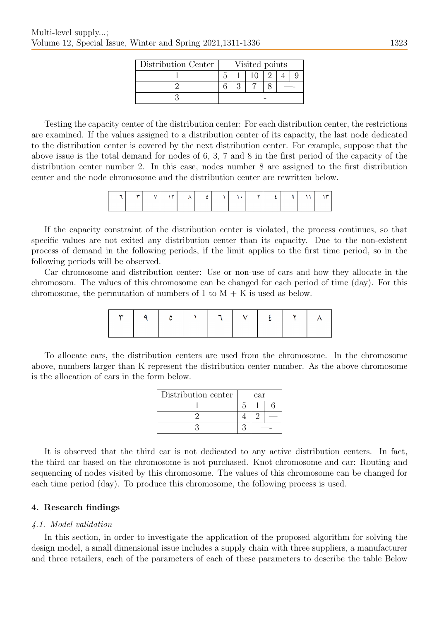| Distribution Center | Visited points |  |  |  |  |  |  |  |
|---------------------|----------------|--|--|--|--|--|--|--|
|                     |                |  |  |  |  |  |  |  |
|                     |                |  |  |  |  |  |  |  |
|                     |                |  |  |  |  |  |  |  |

Testing the capacity center of the distribution center: For each distribution center, the restrictions are examined. If the values assigned to a distribution center of its capacity, the last node dedicated to the distribution center is covered by the next distribution center. For example, suppose that the above issue is the total demand for nodes of 6, 3, 7 and 8 in the first period of the capacity of the distribution center number 2. In this case, nodes number 8 are assigned to the first distribution center and the node chromosome and the distribution center are rewritten below.

| $\sim$ | $\mathbf{A}$ |  |  |  |  |  | ست |
|--------|--------------|--|--|--|--|--|----|
|        |              |  |  |  |  |  |    |

If the capacity constraint of the distribution center is violated, the process continues, so that specific values are not exited any distribution center than its capacity. Due to the non-existent process of demand in the following periods, if the limit applies to the first time period, so in the following periods will be observed.

Car chromosome and distribution center: Use or non-use of cars and how they allocate in the chromosom. The values of this chromosome can be changed for each period of time (day). For this chromosome, the permutation of numbers of 1 to  $M + K$  is used as below.

To allocate cars, the distribution centers are used from the chromosome. In the chromosome above, numbers larger than K represent the distribution center number. As the above chromosome is the allocation of cars in the form below.

| Distribution center | $\operatorname{car}$ |  |  |  |  |
|---------------------|----------------------|--|--|--|--|
|                     |                      |  |  |  |  |
|                     |                      |  |  |  |  |
|                     |                      |  |  |  |  |

It is observed that the third car is not dedicated to any active distribution centers. In fact, the third car based on the chromosome is not purchased. Knot chromosome and car: Routing and sequencing of nodes visited by this chromosome. The values of this chromosome can be changed for each time period (day). To produce this chromosome, the following process is used.

# 4. Research findings

# 4.1. Model validation

In this section, in order to investigate the application of the proposed algorithm for solving the design model, a small dimensional issue includes a supply chain with three suppliers, a manufacturer and three retailers, each of the parameters of each of these parameters to describe the table Below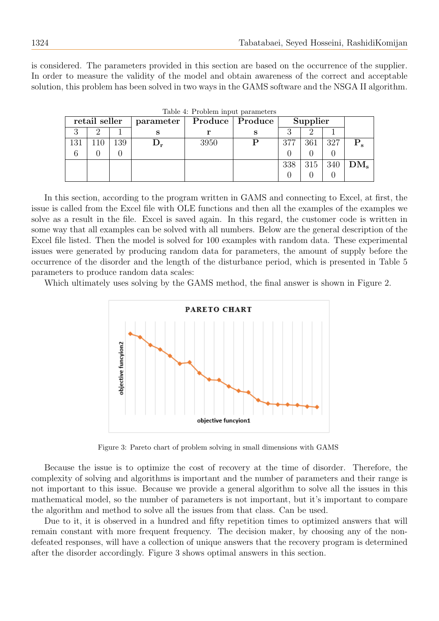is considered. The parameters provided in this section are based on the occurrence of the supplier. In order to measure the validity of the model and obtain awareness of the correct and acceptable solution, this problem has been solved in two ways in the GAMS software and the NSGA II algorithm.

|     | retail seller |     | parameter |      | Produce   Produce |     | Supplier |     |        |
|-----|---------------|-----|-----------|------|-------------------|-----|----------|-----|--------|
|     |               |     | Ð         |      | s                 |     |          |     |        |
| 131 |               | !39 |           | 3950 |                   | 377 | 361      | 327 |        |
|     |               |     |           |      |                   |     |          |     |        |
|     |               |     |           |      |                   | 338 | 315      | 340 | $DM_s$ |
|     |               |     |           |      |                   |     |          |     |        |

Table 4: Problem input parameters

In this section, according to the program written in GAMS and connecting to Excel, at first, the issue is called from the Excel file with OLE functions and then all the examples of the examples we solve as a result in the file. Excel is saved again. In this regard, the customer code is written in some way that all examples can be solved with all numbers. Below are the general description of the Excel file listed. Then the model is solved for 100 examples with random data. These experimental issues were generated by producing random data for parameters, the amount of supply before the occurrence of the disorder and the length of the disturbance period, which is presented in Table 5 parameters to produce random data scales:

Which ultimately uses solving by the GAMS method, the final answer is shown in Figure 2.



Figure 3: Pareto chart of problem solving in small dimensions with GAMS

Because the issue is to optimize the cost of recovery at the time of disorder. Therefore, the complexity of solving and algorithms is important and the number of parameters and their range is not important to this issue. Because we provide a general algorithm to solve all the issues in this mathematical model, so the number of parameters is not important, but it's important to compare the algorithm and method to solve all the issues from that class. Can be used.

Due to it, it is observed in a hundred and fifty repetition times to optimized answers that will remain constant with more frequent frequency. The decision maker, by choosing any of the nondefeated responses, will have a collection of unique answers that the recovery program is determined after the disorder accordingly. Figure 3 shows optimal answers in this section.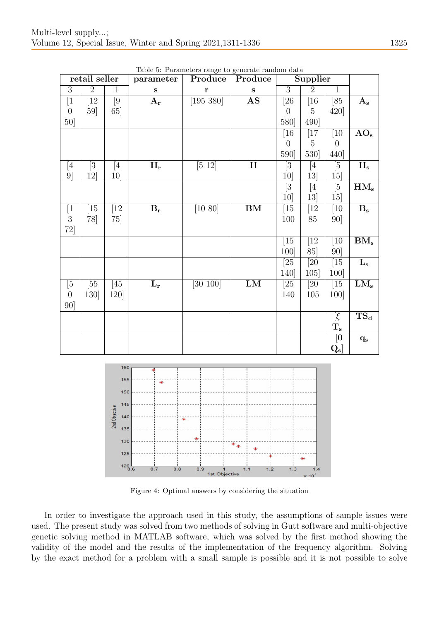|                  | retail seller    |                  | parameter                 | Produce              | Produce                  |                   | Supplier          |                  |                                    |
|------------------|------------------|------------------|---------------------------|----------------------|--------------------------|-------------------|-------------------|------------------|------------------------------------|
| $\overline{3}$   | $\overline{2}$   | $\mathbf{1}$     | ${\bf S}$                 | $\mathbf{r}$         | $\mathbf s$              | $\overline{3}$    | $\overline{2}$    | $\overline{1}$   |                                    |
| $\overline{1}$   | $\overline{1}2$  | $\overline{9}$   | $A_{r}$                   | [195 380]            | AS                       | $\overline{[26]}$ | $\overline{16}$   | [85]             | $A_{s}$                            |
| $\boldsymbol{0}$ | 59               | 65]              |                           |                      |                          | $\boldsymbol{0}$  | $\bf 5$           | 420]             |                                    |
| 50]              |                  |                  |                           |                      |                          | 580]              | 490]              |                  |                                    |
|                  |                  |                  |                           |                      |                          | $[16]$            | $[17]$            | $[10]$           | $AO_s$                             |
|                  |                  |                  |                           |                      |                          | $\boldsymbol{0}$  | $\overline{5}$    | $\boldsymbol{0}$ |                                    |
|                  |                  |                  |                           |                      |                          | 590]              | 530]              | 440]             |                                    |
| [4]              | $\overline{[3]}$ | [4]              | $\overline{H_r}$          | $\overline{[5\ 12]}$ | $\overline{\mathbf{H}}$  | $\overline{[3]}$  | [4]               | $\overline{[5]}$ | $H_{\rm s}$                        |
| 9]               | 12               | 10 <sup>1</sup>  |                           |                      |                          | 10 <sup>1</sup>   | 13]               | 15               |                                    |
|                  |                  |                  |                           |                      |                          | $\overline{[3]}$  | $[4]$             | $\overline{5}$   | $HM_s$                             |
|                  |                  |                  |                           |                      |                          | 10]               | 13]               | 15]              |                                    |
| $[1$             | $\overline{15}$  | $\overline{12}$  | $\mathbf{B}_\mathbf{r}$   | [10 80]              | $\overline{\mathrm{BM}}$ | $[15]$            | $[12]$            | $\overline{10}$  | $\overline{B_s}$                   |
| $\overline{3}$   | 78]              | 75]              |                           |                      |                          | 100               | 85                | 90               |                                    |
| 72]              |                  |                  |                           |                      |                          |                   |                   |                  |                                    |
|                  |                  |                  |                           |                      |                          | [15]              | $\bar{[}12$       | $\overline{10}$  | $BM_s$                             |
|                  |                  |                  |                           |                      |                          | 100]              | 85]               | 90               |                                    |
|                  |                  |                  |                           |                      |                          | $\overline{25}$   | $\overline{20}$   | $\boxed{15}$     | $\overline{\mathrm{L}}_\mathrm{s}$ |
|                  |                  |                  |                           |                      |                          | 140]              | 105               | 100]             |                                    |
| [5               | $\overline{55}$  | $\overline{45}$  | $\overline{\mathrm{L_r}}$ | [30 100]             | LM                       | $\overline{[25]}$ | $\overline{[20]}$ | $\overline{15}$  | $\overline{\text{LM}_s}$           |
| $\boldsymbol{0}$ | 130]             | 120]             |                           |                      |                          | 140               | $105\,$           | 100              |                                    |
| 90               |                  |                  |                           |                      |                          |                   |                   |                  |                                    |
|                  |                  |                  |                           |                      |                          |                   |                   | $[\xi$           | $TS_d$                             |
|                  |                  |                  |                           |                      |                          |                   |                   | $\mathbf{T_{s}}$ |                                    |
|                  |                  |                  |                           |                      |                          |                   |                   | $\overline{[0]}$ | $\mathbf{q}_{\mathrm{s}}$          |
|                  |                  |                  |                           |                      |                          |                   |                   | $Q_{\rm s}]$     |                                    |
|                  |                  | 160              |                           |                      |                          |                   |                   |                  |                                    |
|                  |                  |                  |                           |                      |                          |                   |                   |                  |                                    |
|                  |                  | 155              | ¥                         |                      |                          |                   |                   |                  |                                    |
|                  |                  | 150              |                           |                      |                          |                   |                   |                  |                                    |
|                  |                  | 145              |                           |                      |                          |                   |                   |                  |                                    |
|                  |                  | Objective<br>140 |                           | ₩                    |                          |                   |                   |                  |                                    |

Table 5: Parameters range to generate random data



Figure 4: Optimal answers by considering the situation

In order to investigate the approach used in this study, the assumptions of sample issues were used. The present study was solved from two methods of solving in Gutt software and multi-objective genetic solving method in MATLAB software, which was solved by the first method showing the validity of the model and the results of the implementation of the frequency algorithm. Solving by the exact method for a problem with a small sample is possible and it is not possible to solve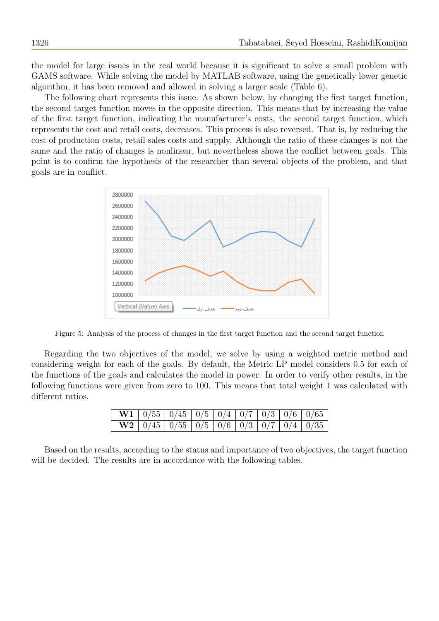the model for large issues in the real world because it is significant to solve a small problem with GAMS software. While solving the model by MATLAB software, using the genetically lower genetic algorithm, it has been removed and allowed in solving a larger scale (Table 6).

The following chart represents this issue. As shown below, by changing the first target function, the second target function moves in the opposite direction. This means that by increasing the value of the first target function, indicating the manufacturer's costs, the second target function, which represents the cost and retail costs, decreases. This process is also reversed. That is, by reducing the cost of production costs, retail sales costs and supply. Although the ratio of these changes is not the same and the ratio of changes is nonlinear, but nevertheless shows the conflict between goals. This point is to confirm the hypothesis of the researcher than several objects of the problem, and that goals are in conflict.



Figure 5: Analysis of the process of changes in the first target function and the second target function

Regarding the two objectives of the model, we solve by using a weighted metric method and considering weight for each of the goals. By default, the Metric LP model considers 0.5 for each of the functions of the goals and calculates the model in power. In order to verify other results, in the following functions were given from zero to 100. This means that total weight 1 was calculated with different ratios.

|  |  |  |  | <b>W1</b>   $0/55$   $0/45$   $0/5$   $0/4$   $0/7$   $0/3$   $0/6$   $0/65$ |
|--|--|--|--|------------------------------------------------------------------------------|
|  |  |  |  | <b>W2</b>   $0/45$   $0/55$   $0/5$   $0/6$   $0/3$   $0/7$   $0/4$   $0/35$ |

Based on the results, according to the status and importance of two objectives, the target function will be decided. The results are in accordance with the following tables.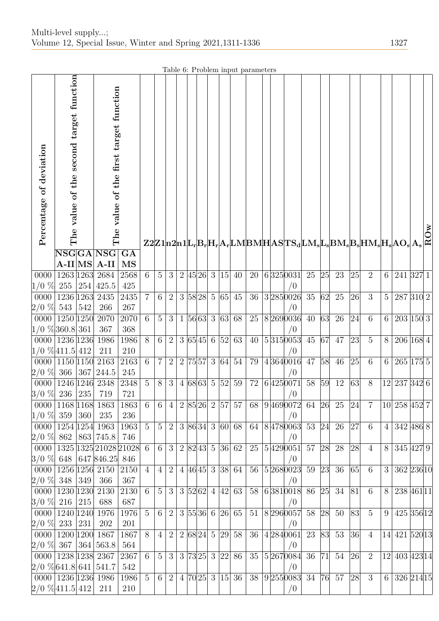Table 6: Problem input parameters

|                                                         |                                         |     |                                                      |                     |                |                 |                |  |           |    |                           | тарк о. т горкиг трас раганкеств |  |                                         |       |    |       |                    |                 |                 |               |  |
|---------------------------------------------------------|-----------------------------------------|-----|------------------------------------------------------|---------------------|----------------|-----------------|----------------|--|-----------|----|---------------------------|----------------------------------|--|-----------------------------------------|-------|----|-------|--------------------|-----------------|-----------------|---------------|--|
| Percentage of deviation                                 | The value of the second target function |     | The value of the first target function               |                     |                |                 |                |  |           |    |                           |                                  |  |                                         |       |    |       |                    |                 |                 |               |  |
|                                                         |                                         |     | $\overline{\mathbf{NSGGA} \mathbf{NSG} \mathbf{GA}}$ |                     |                |                 |                |  |           |    |                           |                                  |  |                                         |       |    |       |                    |                 |                 |               |  |
|                                                         |                                         |     | $A-II MS A-II$                                       | MS                  |                |                 |                |  |           |    |                           |                                  |  |                                         |       |    |       |                    |                 |                 |               |  |
| 0000                                                    | 1263 1263 2684                          |     |                                                      | 2568                | 6              | $5\overline{)}$ | 3              |  | 2 45 26 3 | 15 | 40                        | 20                               |  | 6 325 0031                              | 25    | 25 | 23    | $\left 25\right $  | 2               | 6               | 241 327 1     |  |
| $ 1/0 \text{ \%}  255   254   425.5$                    |                                         |     |                                                      | 425                 |                |                 |                |  |           |    |                           |                                  |  | /0                                      |       |    |       |                    |                 |                 |               |  |
| 0000                                                    | 1236 1263 2435                          |     |                                                      | 2435                | $\overline{7}$ | 6 <sup>1</sup>  | 2              |  |           |    | 3  58 28   5  65   45     | 36                               |  | 3 285 0026                              | 35    | 62 | 25    | 26                 | $\overline{3}$  | $5\overline{)}$ | 287 310 2     |  |
| $2/0 \, \%$ 543 542                                     |                                         |     | 266                                                  | $267\,$             |                |                 |                |  |           |    |                           |                                  |  | /0                                      |       |    |       |                    |                 |                 |               |  |
| 0000 1250 1250 2070                                     |                                         |     |                                                      | $\overline{2070}$   | 6              | $5\overline{)}$ | 3              |  |           |    | 1 56 63 3 63 68           | 25                               |  | 8 269 0036                              | 40    | 63 | 26    | 24                 | $\overline{6}$  | 6               | 203 150 3     |  |
| $ 1/0\sqrt[{\infty}]{360.8} \,361\, $<br>0000 1236 1236 |                                         |     | 367<br>1986                                          | 368                 | 8              | 6               | $\overline{2}$ |  |           |    |                           | 40                               |  | /0                                      | 45    | 67 | 47    | $\overline{23}$    | $5\,$           | 8               | 206 168 4     |  |
| $ 1/0 \; \%$ 411.5 412                                  |                                         |     | 211                                                  | $1986\,$<br>$210\,$ |                |                 |                |  |           |    | 3 65 45 6 52 63           |                                  |  | 5 315 0053<br>/0                        |       |    |       |                    |                 |                 |               |  |
| $\overline{0000}$ 1150 1150                             |                                         |     | 2163                                                 | 2163                | 6              | $\overline{7}$  | $\overline{2}$ |  |           |    | 2  75 57  3  64  54       | 79                               |  | 4 364 0016                              | 47    | 58 | 46    | $\left 25\right $  | $6\phantom{.}6$ | 6               | 265 175 5     |  |
| $2/0$ % 366 367 244.5                                   |                                         |     |                                                      | $245\,$             |                |                 |                |  |           |    |                           |                                  |  | /0                                      |       |    |       |                    |                 |                 |               |  |
| 0000                                                    | 1246 1246                               |     | 2348                                                 | 2348                | 5              | 8               | 3 <sup>1</sup> |  | 4 68 63 5 |    | 52 59                     | 72                               |  | 6 425 0071                              | 58    | 59 | 12    | $\left  63\right $ | 8               |                 | 12 237 342 6  |  |
| $3/0 \%$ 236 235                                        |                                         |     | 719                                                  | 721                 |                |                 |                |  |           |    |                           |                                  |  | /0                                      |       |    |       |                    |                 |                 |               |  |
|                                                         | 0000   1168   1168   1863               |     |                                                      | 1863                | 6              | 6 <sup>1</sup>  | 4              |  |           |    | $\boxed{2 85 26 2 57 57}$ |                                  |  | 68 9 469 0072 64 26 25                  |       |    |       | 24                 | $\overline{7}$  |                 | 10 258 452 7  |  |
| $1/0 \; \%$ 359                                         |                                         | 360 | 235                                                  | 236                 |                |                 |                |  |           |    |                           |                                  |  | /0                                      |       |    |       |                    |                 |                 |               |  |
|                                                         | 0000   1254   1254   1963               |     |                                                      | 1963                | 5              | 5 <sup>5</sup>  | $\overline{2}$ |  |           |    | 3 86 34 3 60 68           |                                  |  | 64 8 478 0063                           | 53    |    | 24 26 | 27                 | $6\phantom{.}6$ |                 | 4 342 486 8   |  |
| $2/0$ % 862 863 745.8                                   |                                         |     |                                                      | 746                 |                |                 |                |  |           |    |                           |                                  |  | /0                                      |       |    |       |                    |                 |                 |               |  |
| 0000                                                    |                                         |     | 1325 1325 21028 21028                                |                     | 6              | 6 <sup>1</sup>  | 3              |  | 2 82 43 5 |    | 36 62                     | 25                               |  | $\left 5\right 429$ $\left 0051\right $ | 57 28 |    | 28    | $\overline{28}$    | $\overline{4}$  | 8               | 345 427 9     |  |
| $3/0$ % 648 647 846.25<br>0000                          | 1256 1256 2150                          |     |                                                      | 846<br>2150         | $\overline{4}$ | $\overline{4}$  | $\overline{2}$ |  |           |    | 4 46 45 3 38 64           | 56                               |  | /0<br> 5 268 0023                       | 59    | 23 | 36    | 65                 | $6\phantom{.}6$ | 3               | 362 236 10    |  |
| $2/0$ % 348 349                                         |                                         |     | 366                                                  | 367                 |                |                 |                |  |           |    |                           |                                  |  | /0                                      |       |    |       |                    |                 |                 |               |  |
| 0000   1230   1230   2130                               |                                         |     |                                                      | 2130                | 6              | 5 <sup>5</sup>  | 3              |  |           |    | 3 52 62 4 42 63           | 58                               |  | 6 381 0018                              | 86 25 |    | 34    | 81                 | $6\phantom{.}6$ | 8               | 238 461 11    |  |
| $3/0 \%$ 216 215                                        |                                         |     | 688                                                  | 687                 |                |                 |                |  |           |    |                           |                                  |  | /0                                      |       |    |       |                    |                 |                 |               |  |
| $0000 \mid 1240 \mid 1240 \mid$                         |                                         |     | 1976                                                 | 1976                | 5              | 6 <sup>1</sup>  | $\overline{2}$ |  |           |    | 3 55 36 6 26 65           | 51                               |  | 82960057                                | 58    | 28 | 50    | 83                 | $\overline{5}$  | 9               | 425 356 12    |  |
| $2/0$ % 233                                             |                                         | 231 | 202                                                  | 201                 |                |                 |                |  |           |    |                           |                                  |  | /0                                      |       |    |       |                    |                 |                 |               |  |
| $0000 \mid 1200 \mid 1200$                              |                                         |     | 1867                                                 | 1867                | 8              | $\overline{4}$  | $\overline{2}$ |  | 2 68 24 5 |    | 29 58                     | 36                               |  | 4 284 0061                              | 23    | 83 | 53    | 36                 | $\overline{4}$  |                 | 14 421 520 13 |  |
| $2/0$ % 367 364 563.8                                   |                                         |     |                                                      | 564                 |                |                 |                |  |           |    |                           |                                  |  | /0                                      |       |    |       |                    |                 |                 |               |  |
| 0000 1238 1238 2367                                     |                                         |     |                                                      | 2367                | 6              | 5 <sup>5</sup>  | 3              |  |           |    | 3   73   25   3   22   86 | 35                               |  | 5 267 0084                              | 36 71 |    | 54    | 26                 | 2               |                 | 12 403 423 14 |  |
| $2/0$ % 641.8 641 541.7                                 |                                         |     |                                                      | 542                 |                |                 |                |  |           |    |                           |                                  |  | $\sqrt{0}$                              |       |    |       |                    |                 |                 |               |  |
| 0000   1236   1236   1986<br>$2/0$ % 411.5 412          |                                         |     | 211                                                  | 1986<br>210         | $\overline{5}$ | 6 <sup>1</sup>  | $\overline{2}$ |  |           |    | 4  70 25   3  15   36     | 38                               |  | 92550083<br>/0                          | 34    |    | 76 57 | 28                 | 3               |                 | 6 326 214 15  |  |
|                                                         |                                         |     |                                                      |                     |                |                 |                |  |           |    |                           |                                  |  |                                         |       |    |       |                    |                 |                 |               |  |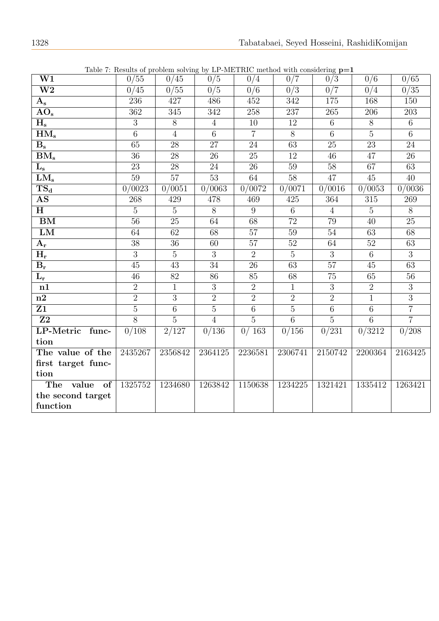|                                     | rable 1. Results of problem solving by Li–MLIRIC include while considering $p-r$ |                 |                  |                 |                 |                  |                  |                 |
|-------------------------------------|----------------------------------------------------------------------------------|-----------------|------------------|-----------------|-----------------|------------------|------------------|-----------------|
| $\overline{\text{W1}}$              | 0/55                                                                             | 0/45            | $\overline{0/5}$ | 0/4             | 0/7             | 0/3              | $\overline{0/6}$ | 0/65            |
| $\overline{\text{W2}}$              | 0/45                                                                             | 0/55            | 0/5              | 0/6             | 0/3             | $\overline{0/7}$ | 0/4              | 0/35            |
| ${\bf A_s}$                         | 236                                                                              | 427             | 486              | 452             | 342             | 175              | 168              | 150             |
| $\overline{{\rm AO}}_{\rm s}$       | 362                                                                              | 345             | 342              | 258             | 237             | 265              | 206              | 203             |
| $H_{\rm s}$                         | 3                                                                                | 8               | $\overline{4}$   | 10              | 12              | 6                | 8                | $6\phantom{.}$  |
| $\overline{\mathrm{HM}}_\mathrm{s}$ | $\overline{6}$                                                                   | $\overline{4}$  | $\overline{6}$   | $\overline{7}$  | $\overline{8}$  | $\overline{6}$   | $\overline{5}$   | $\overline{6}$  |
| $B_{s}$                             | 65                                                                               | 28              | 27               | 24              | 63              | 25               | $\overline{23}$  | 24              |
| $BM_s$                              | 36                                                                               | 28              | 26               | 25              | 12              | 46               | 47               | 26              |
| $\mathbf{L_{s}}$                    | 23                                                                               | 28              | 24               | $\overline{26}$ | 59              | 58               | 67               | 63              |
| $LM_s$                              | 59                                                                               | 57              | 53               | 64              | 58              | 47               | 45               | 40              |
| $\overline{\text{TS}_\text{d}}$     | 0/0023                                                                           | 0/0051          | 0/0063           | 0/0072          | 0/0071          | 0/0016           | 0/0053           | 0/0036          |
| $\mathbf{A}\mathbf{S}$              | 268                                                                              | 429             | 478              | 469             | 425             | 364              | 315              | 269             |
| H                                   | $\overline{5}$                                                                   | $\overline{5}$  | $\overline{8}$   | 9               | 6               | $\overline{4}$   | $\overline{5}$   | 8               |
| $\overline{\mathrm{BM}}$            | $\overline{56}$                                                                  | $\overline{25}$ | 64               | $\overline{68}$ | $\overline{72}$ | 79               | 40               | 25              |
| LM                                  | 64                                                                               | 62              | 68               | 57              | 59              | 54               | 63               | 68              |
| ${\bf A_r}$                         | $\overline{38}$                                                                  | $\overline{36}$ | 60               | $\overline{57}$ | $\overline{52}$ | 64               | $\overline{52}$  | $\overline{63}$ |
| $H_r$                               | $\overline{3}$                                                                   | $\overline{5}$  | $\overline{3}$   | $\overline{2}$  | $\overline{5}$  | $\overline{3}$   | $\overline{6}$   | $\overline{3}$  |
| $\mathbf{B}_{\mathbf{r}}$           | $\overline{45}$                                                                  | $\overline{43}$ | $\overline{34}$  | $\overline{26}$ | $\overline{63}$ | 57               | 45               | $\overline{63}$ |
| $\mathbf{L}_{\mathbf{r}}$           | 46                                                                               | 82              | 86               | 85              | 68              | 75               | 65               | 56              |
| n1                                  | $\overline{2}$                                                                   | $\mathbf{1}$    | 3                | 2               | $\mathbf{1}$    | 3                | $\overline{2}$   | 3               |
| n2                                  | $\overline{2}$                                                                   | $\overline{3}$  | $\overline{2}$   | $\overline{2}$  | $\overline{2}$  | $\overline{2}$   | $\overline{1}$   | $\overline{3}$  |
| Z1                                  | $\overline{5}$                                                                   | $\overline{6}$  | $\overline{5}$   | $\overline{6}$  | $\overline{5}$  | $\overline{6}$   | $6\phantom{.}6$  | $\overline{7}$  |
| $\overline{Z2}$                     | $\overline{8}$                                                                   | $\overline{5}$  | $\overline{4}$   | $\overline{5}$  | 6               | $\overline{5}$   | $6\phantom{.}6$  | $\overline{7}$  |
| LP-Metric func-                     | 0/108                                                                            | $\frac{2}{127}$ | 0/136            | 0/163           | 0/156           | 0/231            | $\sqrt{0/3212}$  | 0/208           |
| tion                                |                                                                                  |                 |                  |                 |                 |                  |                  |                 |
| The value of the                    | 2435267                                                                          | 2356842         | 2364125          | 2236581         | 2306741         | 2150742          | 2200364          | 2163425         |
| first target func-                  |                                                                                  |                 |                  |                 |                 |                  |                  |                 |
| tion                                |                                                                                  |                 |                  |                 |                 |                  |                  |                 |
| The value of                        | 1325752                                                                          | 1234680         | 1263842          | 1150638         | 1234225         | 1321421          | 1335412          | 1263421         |
| the second target                   |                                                                                  |                 |                  |                 |                 |                  |                  |                 |
| function                            |                                                                                  |                 |                  |                 |                 |                  |                  |                 |

Table 7: Results of problem solving by LP-METRIC method with considering  $p=1$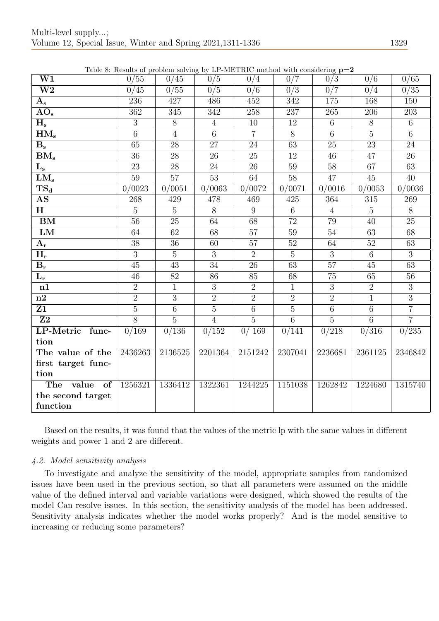|                                 |                 | Lable 6. Results of problem solving by Li -will rate. Internod with considering $p=2$ |                  |                 |                 |                 |                  |                 |
|---------------------------------|-----------------|---------------------------------------------------------------------------------------|------------------|-----------------|-----------------|-----------------|------------------|-----------------|
| $\overline{\text{W1}}$          | 0/55            | 0/45                                                                                  | $\overline{0/5}$ | 0/4             | 0/7             | 0/3             | $\overline{0/6}$ | 0/65            |
| $\overline{\text{W2}}$          | 0/45            | 0/55                                                                                  | 0/5              | 0/6             | 0/3             | 0/7             | 0/4              | 0/35            |
| ${\bf A_s}$                     | 236             | 427                                                                                   | 486              | 452             | 342             | 175             | 168              | 150             |
| $\overline{{\rm AO}}_{\rm s}$   | 362             | 345                                                                                   | 342              | 258             | 237             | 265             | 206              | 203             |
| $\mathbf{H_{s}}$                | 3               | 8                                                                                     | $\overline{4}$   | 10              | 12              | 6               | 8                | 6               |
| HM <sub>s</sub>                 | $\overline{6}$  | $\overline{4}$                                                                        | $\overline{6}$   | $\overline{7}$  | $\overline{8}$  | $\overline{6}$  | $\overline{5}$   | $\overline{6}$  |
| $B_s$                           | 65              | 28                                                                                    | 27               | 24              | 63              | 25              | 23               | 24              |
| $\overline{\mathrm{BM_s}}$      | $\overline{36}$ | 28                                                                                    | 26               | $\overline{25}$ | 12              | 46              | 47               | $\overline{26}$ |
| $\mathbf{L}_{\mathbf{s}}$       | 23              | 28                                                                                    | 24               | 26              | 59              | 58              | 67               | 63              |
| $LM_s$                          | 59              | $\overline{57}$                                                                       | 53               | 64              | 58              | 47              | 45               | 40              |
| $\overline{\text{TS}_\text{d}}$ | 0/0023          | 0/0051                                                                                | 0/0063           | 0/0072          | 0/0071          | 0/0016          | 0/0053           | 0/0036          |
| AS                              | 268             | 429                                                                                   | 478              | 469             | 425             | 364             | 315              | 269             |
| H                               | $\overline{5}$  | $\overline{5}$                                                                        | $\overline{8}$   | 9               | 6               | $\overline{4}$  | $\overline{5}$   | $\overline{8}$  |
| $\overline{\mathrm{BM}}$        | $\overline{56}$ | $\overline{25}$                                                                       | 64               | $\overline{68}$ | $\overline{72}$ | 79              | $\overline{40}$  | $\overline{25}$ |
| $\mathbf{LM}$                   | 64              | 62                                                                                    | 68               | 57              | 59              | 54              | 63               | 68              |
| $A_{\rm r}$                     | $\overline{38}$ | 36                                                                                    | 60               | $\overline{57}$ | $\overline{52}$ | 64              | 52               | $\overline{63}$ |
| $H_r$                           | $\overline{3}$  | $\overline{5}$                                                                        | 3                | 2               | $\overline{5}$  | 3               | $6\overline{6}$  | $\overline{3}$  |
| $B_r$                           | 45              | $\overline{43}$                                                                       | $\overline{34}$  | $\overline{26}$ | $\overline{63}$ | $\overline{57}$ | 45               | $\overline{63}$ |
| $\mathbf{L}_{\mathbf{r}}$       | 46              | $\overline{82}$                                                                       | 86               | 85              | 68              | 75              | 65               | $\overline{56}$ |
| n1                              | $\overline{2}$  | $\mathbf{1}$                                                                          | 3                | 2               | $\mathbf{1}$    | 3               | $\overline{2}$   | $\overline{3}$  |
| n2                              | $\overline{2}$  | $\overline{3}$                                                                        | $\overline{2}$   | $\overline{2}$  | $\overline{2}$  | $\overline{2}$  | $\overline{1}$   | $\overline{3}$  |
| Z1                              | $\overline{5}$  | $6\overline{6}$                                                                       | $\overline{5}$   | $6\,$           | $\overline{5}$  | $6\phantom{.}6$ | $6\phantom{.}6$  | $\overline{7}$  |
| $\overline{{\bf Z2}}$           | $\overline{8}$  | $\overline{5}$                                                                        | $\overline{4}$   | $\overline{5}$  | $\overline{6}$  | $\overline{5}$  | $\overline{6}$   | $\overline{7}$  |
| LP-Metric func-                 | 0/169           | 0/136                                                                                 | 0/152            | 0/169           | 0/141           | $\sqrt{0/218}$  | 0/316            | 0/235           |
| tion                            |                 |                                                                                       |                  |                 |                 |                 |                  |                 |
| The value of the                | 2436263         | 2136525                                                                               | 2201364          | 2151242         | 2307041         | 2236681         | 2361125          | 2346842         |
| first target func-              |                 |                                                                                       |                  |                 |                 |                 |                  |                 |
| tion                            |                 |                                                                                       |                  |                 |                 |                 |                  |                 |
| of<br>The value                 | 1256321         | 1336412                                                                               | 1322361          | 1244225         | 1151038         | 1262842         | 1224680          | 1315740         |
| the second target               |                 |                                                                                       |                  |                 |                 |                 |                  |                 |
| function                        |                 |                                                                                       |                  |                 |                 |                 |                  |                 |

Table 8: Results of problem solving by LP-METRIC method with considering  $p=2$ 

Based on the results, it was found that the values of the metric lp with the same values in different weights and power 1 and 2 are different.

# 4.2. Model sensitivity analysis

To investigate and analyze the sensitivity of the model, appropriate samples from randomized issues have been used in the previous section, so that all parameters were assumed on the middle value of the defined interval and variable variations were designed, which showed the results of the model Can resolve issues. In this section, the sensitivity analysis of the model has been addressed. Sensitivity analysis indicates whether the model works properly? And is the model sensitive to increasing or reducing some parameters?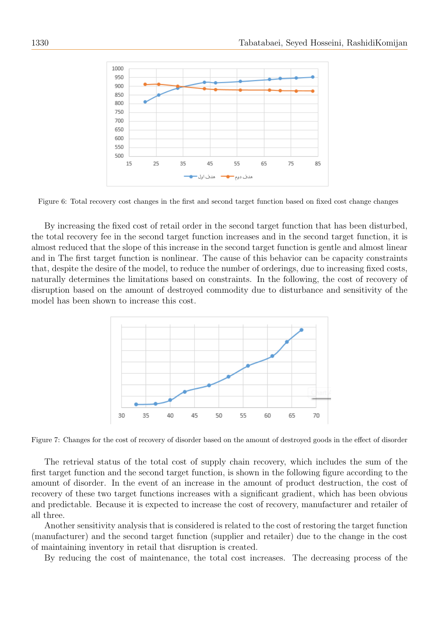

Figure 6: Total recovery cost changes in the first and second target function based on fixed cost change changes

By increasing the fixed cost of retail order in the second target function that has been disturbed, the total recovery fee in the second target function increases and in the second target function, it is almost reduced that the slope of this increase in the second target function is gentle and almost linear and in The first target function is nonlinear. The cause of this behavior can be capacity constraints that, despite the desire of the model, to reduce the number of orderings, due to increasing fixed costs, naturally determines the limitations based on constraints. In the following, the cost of recovery of disruption based on the amount of destroyed commodity due to disturbance and sensitivity of the model has been shown to increase this cost.



Figure 7: Changes for the cost of recovery of disorder based on the amount of destroyed goods in the effect of disorder

The retrieval status of the total cost of supply chain recovery, which includes the sum of the first target function and the second target function, is shown in the following figure according to the amount of disorder. In the event of an increase in the amount of product destruction, the cost of recovery of these two target functions increases with a significant gradient, which has been obvious and predictable. Because it is expected to increase the cost of recovery, manufacturer and retailer of all three.

Another sensitivity analysis that is considered is related to the cost of restoring the target function (manufacturer) and the second target function (supplier and retailer) due to the change in the cost of maintaining inventory in retail that disruption is created.

By reducing the cost of maintenance, the total cost increases. The decreasing process of the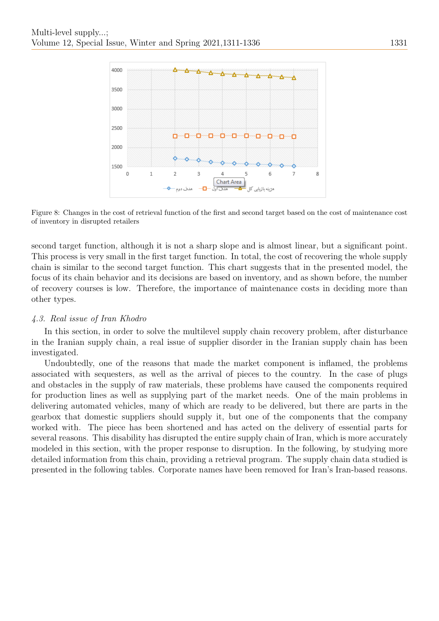

Figure 8: Changes in the cost of retrieval function of the first and second target based on the cost of maintenance cost of inventory in disrupted retailers

second target function, although it is not a sharp slope and is almost linear, but a significant point. This process is very small in the first target function. In total, the cost of recovering the whole supply chain is similar to the second target function. This chart suggests that in the presented model, the focus of its chain behavior and its decisions are based on inventory, and as shown before, the number of recovery courses is low. Therefore, the importance of maintenance costs in deciding more than other types.

# 4.3. Real issue of Iran Khodro

In this section, in order to solve the multilevel supply chain recovery problem, after disturbance in the Iranian supply chain, a real issue of supplier disorder in the Iranian supply chain has been investigated.

Undoubtedly, one of the reasons that made the market component is inflamed, the problems associated with sequesters, as well as the arrival of pieces to the country. In the case of plugs and obstacles in the supply of raw materials, these problems have caused the components required for production lines as well as supplying part of the market needs. One of the main problems in delivering automated vehicles, many of which are ready to be delivered, but there are parts in the gearbox that domestic suppliers should supply it, but one of the components that the company worked with. The piece has been shortened and has acted on the delivery of essential parts for several reasons. This disability has disrupted the entire supply chain of Iran, which is more accurately modeled in this section, with the proper response to disruption. In the following, by studying more detailed information from this chain, providing a retrieval program. The supply chain data studied is presented in the following tables. Corporate names have been removed for Iran's Iran-based reasons.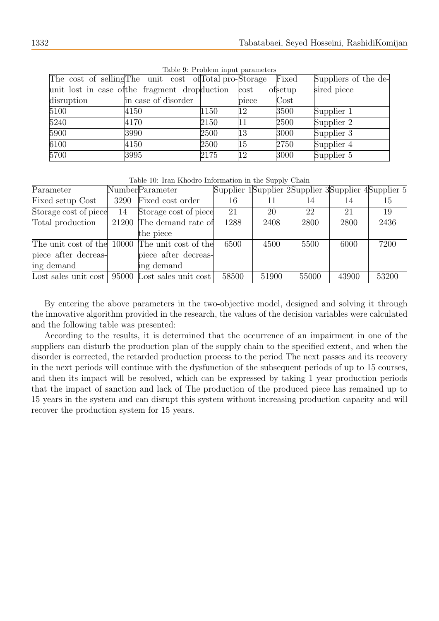|                                                        |                     |      | Lable 9. I robient mput parameters |          |                      |
|--------------------------------------------------------|---------------------|------|------------------------------------|----------|----------------------|
| The cost of selling The unit cost of Total pro-Storage |                     |      |                                    | Fixed    | Suppliers of the de- |
| unit lost in case of the fragment drop duction         |                     |      | cost                               | ofsetup  | sired piece          |
| disruption                                             | in case of disorder |      | piece                              | $\cos t$ |                      |
| 5100                                                   | 4150                | 1150 | $ 12\rangle$                       | 3500     | Supplier 1           |
| 5240                                                   | 4170                | 2150 | 11                                 | 2500     | Supplier 2           |
| 5900                                                   | 3990                | 2500 | 13                                 | 3000     | Supplier 3           |
| 6100                                                   | 4150                | 2500 | 15                                 | 2750     | Supplier 4           |
| 5700                                                   | 3995                | 2175 | 12                                 | 3000     | Supplier 5           |

Table 9: Problem input parameters

Table 10: Iran Khodro Information in the Supply Chain

| Parameter             |      | NumberParameter                                 |       |       |       |       | Supplier 1 Supplier 2 Supplier 3 Supplier 4 Supplier 5 |
|-----------------------|------|-------------------------------------------------|-------|-------|-------|-------|--------------------------------------------------------|
| Fixed setup Cost      | 3290 | Fixed cost order                                | 16    | 11    | 14    | 14    | 15                                                     |
| Storage cost of piece | 14   | Storage cost of piece                           | 21    | 20    | 22    | 21    | 19                                                     |
| Total production      |      | 21200 The demand rate of                        | 1288  | 2408  | 2800  | 2800  | 2436                                                   |
|                       |      | the piece                                       |       |       |       |       |                                                        |
|                       |      | The unit cost of the 10000 The unit cost of the | 6500  | 4500  | 5500  | 6000  | 7200                                                   |
| piece after decreas-  |      | piece after decreas-                            |       |       |       |       |                                                        |
| ing demand            |      | ing demand                                      |       |       |       |       |                                                        |
| Lost sales unit cost  |      | 95000 Lost sales unit cost                      | 58500 | 51900 | 55000 | 43900 | 53200                                                  |

By entering the above parameters in the two-objective model, designed and solving it through the innovative algorithm provided in the research, the values of the decision variables were calculated and the following table was presented:

According to the results, it is determined that the occurrence of an impairment in one of the suppliers can disturb the production plan of the supply chain to the specified extent, and when the disorder is corrected, the retarded production process to the period The next passes and its recovery in the next periods will continue with the dysfunction of the subsequent periods of up to 15 courses, and then its impact will be resolved, which can be expressed by taking 1 year production periods that the impact of sanction and lack of The production of the produced piece has remained up to 15 years in the system and can disrupt this system without increasing production capacity and will recover the production system for 15 years.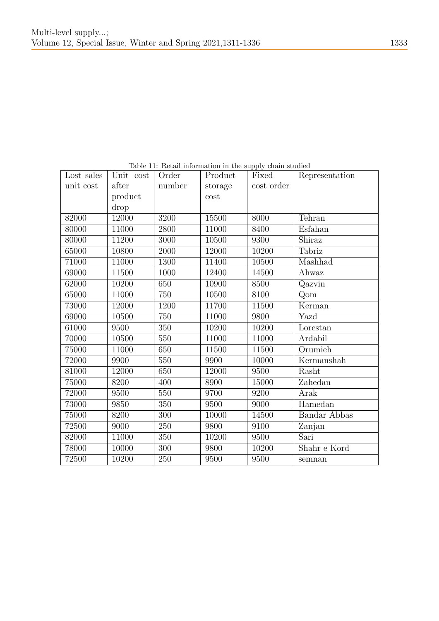| Lost sales | Unit cost | Order  | Product | Fixed             | Representation      |
|------------|-----------|--------|---------|-------------------|---------------------|
| unit cost  | after     | number | storage | cost order        |                     |
|            | product   |        | cost    |                   |                     |
|            | drop      |        |         |                   |                     |
| 82000      | 12000     | 3200   | 15500   | 8000              | Tehran              |
| 80000      | 11000     | 2800   | 11000   | 8400              | Esfahan             |
| 80000      | 11200     | 3000   | 10500   | 9300              | Shiraz              |
| 65000      | 10800     | 2000   | 12000   | 10200             | Tabriz              |
| 71000      | 11000     | 1300   | 11400   | 10500             | Mashhad             |
| 69000      | 11500     | 1000   | 12400   | 14500             | Ahwaz               |
| 62000      | 10200     | 650    | 10900   | 8500              | Qazvin              |
| 65000      | 11000     | 750    | 10500   | $81\overline{00}$ | Qom                 |
| 73000      | 12000     | 1200   | 11700   | 11500             | Kerman              |
| 69000      | 10500     | 750    | 11000   | 9800              | Yazd                |
| 61000      | 9500      | 350    | 10200   | 10200             | Lorestan            |
| 70000      | 10500     | 550    | 11000   | 11000             | Ardabil             |
| 75000      | 11000     | 650    | 11500   | 11500             | Orumieh             |
| 72000      | 9900      | 550    | 9900    | 10000             | Kermanshah          |
| 81000      | 12000     | 650    | 12000   | 9500              | Rasht               |
| 75000      | 8200      | 400    | 8900    | 15000             | Zahedan             |
| 72000      | 9500      | 550    | 9700    | 9200              | Arak                |
| 73000      | 9850      | 350    | 9500    | 9000              | Hamedan             |
| 75000      | 8200      | 300    | 10000   | 14500             | <b>Bandar Abbas</b> |
| 72500      | 9000      | 250    | 9800    | 9100              | Zanjan              |
| 82000      | 11000     | 350    | 10200   | 9500              | Sari                |
| 78000      | 10000     | 300    | 9800    | 10200             | Shahr e Kord        |
| 72500      | 10200     | 250    | 9500    | 9500              | semnan              |

Table 11: Retail information in the supply chain studied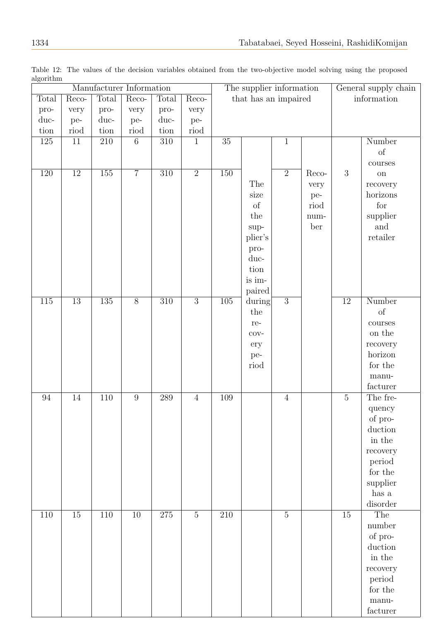|                  |                 |                  | Manufacturer Information |                  |                | The supplier information |                      |                |        | General supply chain |                                                                                                    |  |
|------------------|-----------------|------------------|--------------------------|------------------|----------------|--------------------------|----------------------|----------------|--------|----------------------|----------------------------------------------------------------------------------------------------|--|
| Total            | Reco-           | Total            | Reco-                    | Total            | Reco-          |                          | that has an impaired |                |        |                      | information                                                                                        |  |
| pro-             | very            | pro-             | very                     | pro-             | very           |                          |                      |                |        |                      |                                                                                                    |  |
| duc-             | pe-             | duc-             | pe-                      | duc-             | pe-            |                          |                      |                |        |                      |                                                                                                    |  |
| tion             | riod            | $\,$ tion        | riod                     | $\,$ tion        | riod           |                          |                      |                |        |                      |                                                                                                    |  |
| 125              | 11              | 210              | $6\,$                    | 310              | $\mathbf{1}$   | 35                       |                      | $\mathbf{1}$   |        |                      | Number                                                                                             |  |
|                  |                 |                  |                          |                  |                |                          |                      |                |        |                      | of                                                                                                 |  |
|                  |                 |                  |                          |                  |                |                          |                      |                |        |                      | courses                                                                                            |  |
| 120              | $\overline{12}$ | $\overline{155}$ | $\overline{7}$           | $\overline{310}$ | $\overline{2}$ | $\overline{150}$         |                      | $\overline{2}$ | Reco-  | 3                    | <b>on</b>                                                                                          |  |
|                  |                 |                  |                          |                  |                |                          | The                  |                | very   |                      | recovery                                                                                           |  |
|                  |                 |                  |                          |                  |                |                          | size                 |                | pe-    |                      | horizons                                                                                           |  |
|                  |                 |                  |                          |                  |                |                          | of                   |                | riod   |                      | for                                                                                                |  |
|                  |                 |                  |                          |                  |                |                          | the                  |                | $num-$ |                      | supplier                                                                                           |  |
|                  |                 |                  |                          |                  |                |                          | $sup-$               |                | ber    |                      | and                                                                                                |  |
|                  |                 |                  |                          |                  |                |                          | plier's              |                |        |                      | $\operatorname{ret}\nolimits$                                                                      |  |
|                  |                 |                  |                          |                  |                |                          | pro-                 |                |        |                      |                                                                                                    |  |
|                  |                 |                  |                          |                  |                |                          | duc-                 |                |        |                      |                                                                                                    |  |
|                  |                 |                  |                          |                  |                |                          | tion                 |                |        |                      |                                                                                                    |  |
|                  |                 |                  |                          |                  |                |                          | is im-               |                |        |                      |                                                                                                    |  |
|                  |                 |                  |                          |                  |                |                          | paired               |                |        |                      |                                                                                                    |  |
| $\overline{115}$ | $\overline{13}$ | $\overline{135}$ | $\overline{8}$           | $\overline{310}$ | $\overline{3}$ | $\overline{105}$         | during               | $\overline{3}$ |        | $\overline{12}$      | Number                                                                                             |  |
|                  |                 |                  |                          |                  |                |                          | the                  |                |        |                      | $% \left( \left( \mathcal{A},\mathcal{A}\right) \right) =\left( \mathcal{A},\mathcal{A}\right)$ of |  |
|                  |                 |                  |                          |                  |                |                          | re-                  |                |        |                      | $\rm{course}$                                                                                      |  |
|                  |                 |                  |                          |                  |                |                          | $\cos$               |                |        |                      | on the                                                                                             |  |
|                  |                 |                  |                          |                  |                |                          | ery                  |                |        |                      | recovery                                                                                           |  |
|                  |                 |                  |                          |                  |                |                          | pe-                  |                |        |                      | horizon                                                                                            |  |
|                  |                 |                  |                          |                  |                |                          | riod                 |                |        |                      | for the                                                                                            |  |
|                  |                 |                  |                          |                  |                |                          |                      |                |        |                      | $_{\rm manu}$ .                                                                                    |  |
|                  |                 |                  |                          |                  |                |                          |                      |                |        |                      | facturer                                                                                           |  |
| $94\,$           | $14\,$          | 110              | $\boldsymbol{9}$         | 289              | $\sqrt{4}$     | 109                      |                      | $\overline{4}$ |        | $\overline{5}$       | The fre-                                                                                           |  |
|                  |                 |                  |                          |                  |                |                          |                      |                |        |                      | quency                                                                                             |  |
|                  |                 |                  |                          |                  |                |                          |                      |                |        |                      | of pro-                                                                                            |  |
|                  |                 |                  |                          |                  |                |                          |                      |                |        |                      | duction                                                                                            |  |
|                  |                 |                  |                          |                  |                |                          |                      |                |        |                      | in the                                                                                             |  |
|                  |                 |                  |                          |                  |                |                          |                      |                |        |                      | recovery                                                                                           |  |
|                  |                 |                  |                          |                  |                |                          |                      |                |        |                      | period                                                                                             |  |
|                  |                 |                  |                          |                  |                |                          |                      |                |        |                      | $\,$ for the $\,$                                                                                  |  |
|                  |                 |                  |                          |                  |                |                          |                      |                |        |                      | supplier                                                                                           |  |
|                  |                 |                  |                          |                  |                |                          |                      |                |        |                      | has a                                                                                              |  |
|                  |                 |                  |                          |                  |                |                          |                      |                |        |                      | disorder                                                                                           |  |
| 110              | 15              | 110              | 10                       | $275\,$          | $\overline{5}$ | 210                      |                      | $\overline{5}$ |        | 15                   | The                                                                                                |  |
|                  |                 |                  |                          |                  |                |                          |                      |                |        |                      | number                                                                                             |  |
|                  |                 |                  |                          |                  |                |                          |                      |                |        |                      | of pro-                                                                                            |  |
|                  |                 |                  |                          |                  |                |                          |                      |                |        |                      | duction                                                                                            |  |
|                  |                 |                  |                          |                  |                |                          |                      |                |        |                      | in the                                                                                             |  |
|                  |                 |                  |                          |                  |                |                          |                      |                |        |                      | recovery                                                                                           |  |
|                  |                 |                  |                          |                  |                |                          |                      |                |        |                      | period                                                                                             |  |
|                  |                 |                  |                          |                  |                |                          |                      |                |        |                      | for the                                                                                            |  |
|                  |                 |                  |                          |                  |                |                          |                      |                |        |                      | $_{\rm manu}$ .                                                                                    |  |
|                  |                 |                  |                          |                  |                |                          |                      |                |        |                      | facturer                                                                                           |  |
|                  |                 |                  |                          |                  |                |                          |                      |                |        |                      |                                                                                                    |  |

Table 12: The values of the decision variables obtained from the two-objective model solving using the proposed algorithm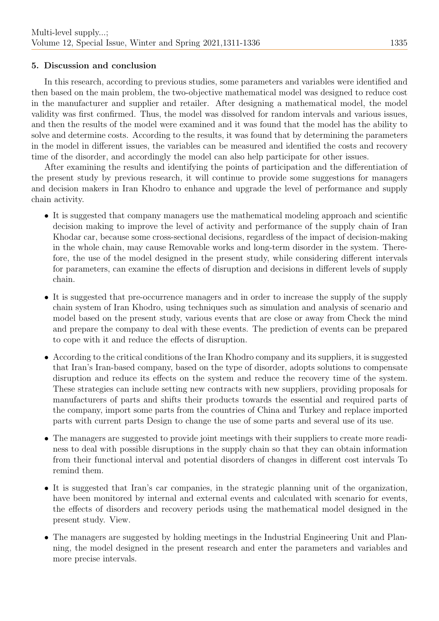# 5. Discussion and conclusion

In this research, according to previous studies, some parameters and variables were identified and then based on the main problem, the two-objective mathematical model was designed to reduce cost in the manufacturer and supplier and retailer. After designing a mathematical model, the model validity was first confirmed. Thus, the model was dissolved for random intervals and various issues, and then the results of the model were examined and it was found that the model has the ability to solve and determine costs. According to the results, it was found that by determining the parameters in the model in different issues, the variables can be measured and identified the costs and recovery time of the disorder, and accordingly the model can also help participate for other issues.

After examining the results and identifying the points of participation and the differentiation of the present study by previous research, it will continue to provide some suggestions for managers and decision makers in Iran Khodro to enhance and upgrade the level of performance and supply chain activity.

- It is suggested that company managers use the mathematical modeling approach and scientific decision making to improve the level of activity and performance of the supply chain of Iran Khodar car, because some cross-sectional decisions, regardless of the impact of decision-making in the whole chain, may cause Removable works and long-term disorder in the system. Therefore, the use of the model designed in the present study, while considering different intervals for parameters, can examine the effects of disruption and decisions in different levels of supply chain.
- It is suggested that pre-occurrence managers and in order to increase the supply of the supply chain system of Iran Khodro, using techniques such as simulation and analysis of scenario and model based on the present study, various events that are close or away from Check the mind and prepare the company to deal with these events. The prediction of events can be prepared to cope with it and reduce the effects of disruption.
- According to the critical conditions of the Iran Khodro company and its suppliers, it is suggested that Iran's Iran-based company, based on the type of disorder, adopts solutions to compensate disruption and reduce its effects on the system and reduce the recovery time of the system. These strategies can include setting new contracts with new suppliers, providing proposals for manufacturers of parts and shifts their products towards the essential and required parts of the company, import some parts from the countries of China and Turkey and replace imported parts with current parts Design to change the use of some parts and several use of its use.
- The managers are suggested to provide joint meetings with their suppliers to create more readiness to deal with possible disruptions in the supply chain so that they can obtain information from their functional interval and potential disorders of changes in different cost intervals To remind them.
- It is suggested that Iran's car companies, in the strategic planning unit of the organization, have been monitored by internal and external events and calculated with scenario for events, the effects of disorders and recovery periods using the mathematical model designed in the present study. View.
- The managers are suggested by holding meetings in the Industrial Engineering Unit and Planning, the model designed in the present research and enter the parameters and variables and more precise intervals.